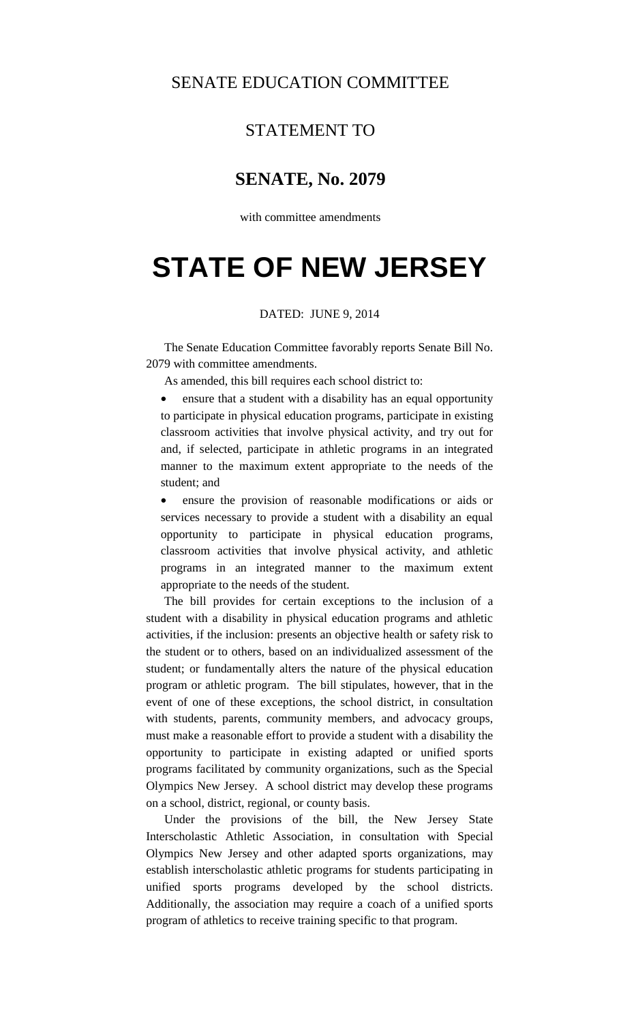### SENATE EDUCATION COMMITTEE

## STATEMENT TO

### **SENATE, No. 2079**

with committee amendments

# **STATE OF NEW JERSEY**

#### DATED: JUNE 9, 2014

 The Senate Education Committee favorably reports Senate Bill No. 2079 with committee amendments.

As amended, this bill requires each school district to:

• ensure that a student with a disability has an equal opportunity to participate in physical education programs, participate in existing classroom activities that involve physical activity, and try out for and, if selected, participate in athletic programs in an integrated manner to the maximum extent appropriate to the needs of the student; and

• ensure the provision of reasonable modifications or aids or services necessary to provide a student with a disability an equal opportunity to participate in physical education programs, classroom activities that involve physical activity, and athletic programs in an integrated manner to the maximum extent appropriate to the needs of the student.

 The bill provides for certain exceptions to the inclusion of a student with a disability in physical education programs and athletic activities, if the inclusion: presents an objective health or safety risk to the student or to others, based on an individualized assessment of the student; or fundamentally alters the nature of the physical education program or athletic program. The bill stipulates, however, that in the event of one of these exceptions, the school district, in consultation with students, parents, community members, and advocacy groups, must make a reasonable effort to provide a student with a disability the opportunity to participate in existing adapted or unified sports programs facilitated by community organizations, such as the Special Olympics New Jersey. A school district may develop these programs on a school, district, regional, or county basis.

 Under the provisions of the bill, the New Jersey State Interscholastic Athletic Association, in consultation with Special Olympics New Jersey and other adapted sports organizations, may establish interscholastic athletic programs for students participating in unified sports programs developed by the school districts. Additionally, the association may require a coach of a unified sports program of athletics to receive training specific to that program.